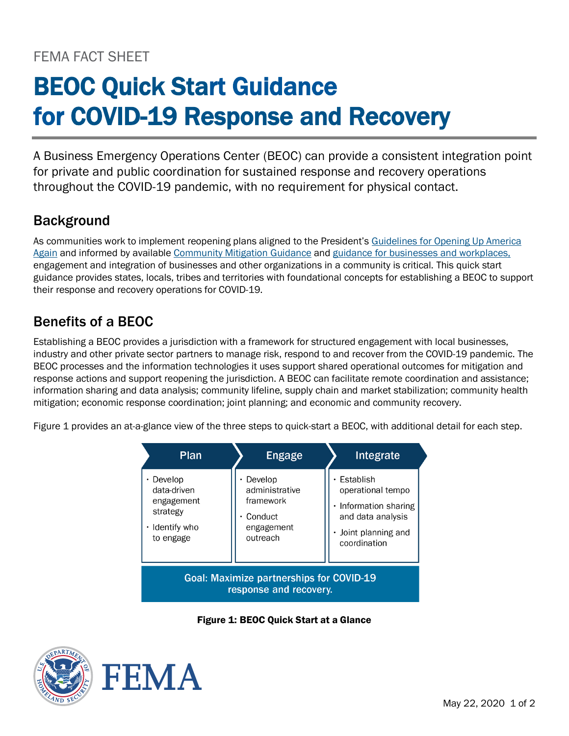# BEOC Quick Start Guidance for COVID-19 Response and Recovery

A Business Emergency Operations Center (BEOC) can provide a consistent integration point for private and public coordination for sustained response and recovery operations throughout the COVID-19 pandemic, with no requirement for physical contact.

## **Background**

As communities work to implement reopening plans aligned to the President's [Guidelines for Opening Up America](https://www.whitehouse.gov/openingamerica/)  [Again](https://www.whitehouse.gov/openingamerica/) and informed by available [Community Mitigation Guidance](https://www.cdc.gov/coronavirus/2019-ncov/php/open-america/community-mitigation.html) and [guidance for businesses and workplaces,](https://www.cdc.gov/coronavirus/2019-ncov/community/organizations/businesses-employers.html) engagement and integration of businesses and other organizations in a community is critical. This quick start guidance provides states, locals, tribes and territories with foundational concepts for establishing a BEOC to support their response and recovery operations for COVID-19.

## Benefits of a BEOC

Establishing a BEOC provides a jurisdiction with a framework for structured engagement with local businesses, industry and other private sector partners to manage risk, respond to and recover from the COVID-19 pandemic. The BEOC processes and the information technologies it uses support shared operational outcomes for mitigation and response actions and support reopening the jurisdiction. A BEOC can facilitate remote coordination and assistance; information sharing and data analysis; community lifeline, supply chain and market stabilization; community health mitigation; economic response coordination; joint planning; and economic and community recovery.

Figure 1 provides an at-a-glance view of the three steps to quick-start a BEOC, with additional detail for each step.

| Plan                                                                                    | <b>Engage</b>                                                               | Integrate                                                                                                        |
|-----------------------------------------------------------------------------------------|-----------------------------------------------------------------------------|------------------------------------------------------------------------------------------------------------------|
| $\cdot$ Develop<br>data-driven<br>engagement<br>strategy<br>· Identify who<br>to engage | Develop<br>administrative<br>framework<br>Conduct<br>engagement<br>outreach | Establish<br>operational tempo<br>Information sharing<br>and data analysis<br>Joint planning and<br>coordination |
| <b>Goal: Maximize partnerships for COVID-19</b><br>response and recovery.               |                                                                             |                                                                                                                  |

Figure 1: BEOC Quick Start at a Glance